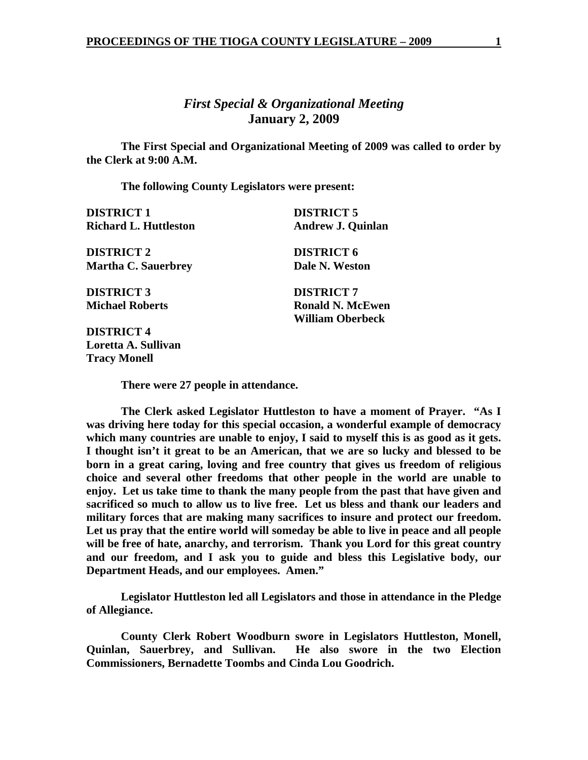# *First Special & Organizational Meeting*  **January 2, 2009**

 **The First Special and Organizational Meeting of 2009 was called to order by the Clerk at 9:00 A.M.** 

 **The following County Legislators were present:** 

| <b>DISTRICT 1</b>            | <b>DISTRICT 5</b>        |
|------------------------------|--------------------------|
| <b>Richard L. Huttleston</b> | <b>Andrew J. Quinlan</b> |
| <b>DISTRICT 2</b>            | <b>DISTRICT 6</b>        |
| <b>Martha C. Sauerbrey</b>   | Dale N. Weston           |
| <b>DISTRICT 3</b>            | <b>DISTRICT 7</b>        |
| <b>Michael Roberts</b>       | <b>Ronald N. McEwen</b>  |
|                              | <b>William Oberbeck</b>  |
| <b>DISTRICT 4</b>            |                          |
|                              |                          |

**Loretta A. Sullivan Tracy Monell** 

 **There were 27 people in attendance.** 

 **The Clerk asked Legislator Huttleston to have a moment of Prayer. "As I was driving here today for this special occasion, a wonderful example of democracy which many countries are unable to enjoy, I said to myself this is as good as it gets. I thought isn't it great to be an American, that we are so lucky and blessed to be born in a great caring, loving and free country that gives us freedom of religious choice and several other freedoms that other people in the world are unable to enjoy. Let us take time to thank the many people from the past that have given and sacrificed so much to allow us to live free. Let us bless and thank our leaders and military forces that are making many sacrifices to insure and protect our freedom. Let us pray that the entire world will someday be able to live in peace and all people will be free of hate, anarchy, and terrorism. Thank you Lord for this great country and our freedom, and I ask you to guide and bless this Legislative body, our Department Heads, and our employees. Amen."** 

 **Legislator Huttleston led all Legislators and those in attendance in the Pledge of Allegiance.** 

 **County Clerk Robert Woodburn swore in Legislators Huttleston, Monell, Quinlan, Sauerbrey, and Sullivan. He also swore in the two Election Commissioners, Bernadette Toombs and Cinda Lou Goodrich.**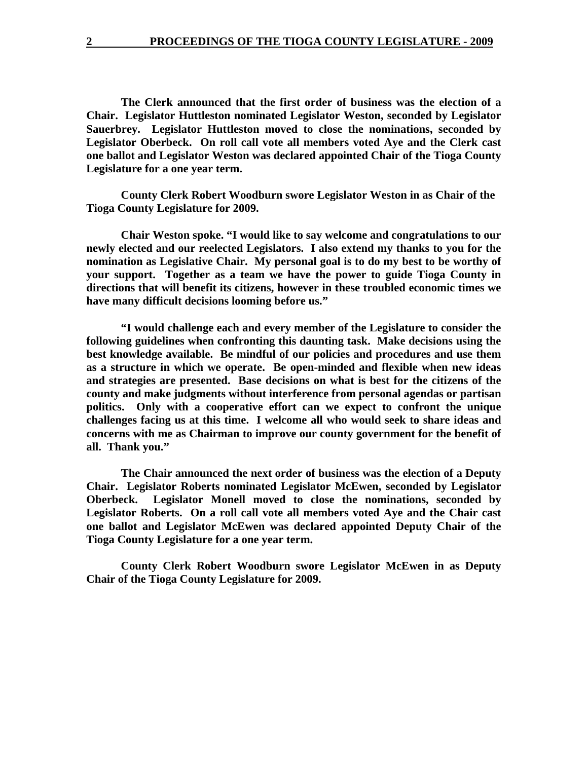**The Clerk announced that the first order of business was the election of a Chair. Legislator Huttleston nominated Legislator Weston, seconded by Legislator Sauerbrey. Legislator Huttleston moved to close the nominations, seconded by Legislator Oberbeck. On roll call vote all members voted Aye and the Clerk cast one ballot and Legislator Weston was declared appointed Chair of the Tioga County Legislature for a one year term.** 

**County Clerk Robert Woodburn swore Legislator Weston in as Chair of the Tioga County Legislature for 2009.** 

**Chair Weston spoke. "I would like to say welcome and congratulations to our newly elected and our reelected Legislators. I also extend my thanks to you for the nomination as Legislative Chair. My personal goal is to do my best to be worthy of your support. Together as a team we have the power to guide Tioga County in directions that will benefit its citizens, however in these troubled economic times we have many difficult decisions looming before us."** 

**"I would challenge each and every member of the Legislature to consider the following guidelines when confronting this daunting task. Make decisions using the best knowledge available. Be mindful of our policies and procedures and use them as a structure in which we operate. Be open-minded and flexible when new ideas and strategies are presented. Base decisions on what is best for the citizens of the county and make judgments without interference from personal agendas or partisan politics. Only with a cooperative effort can we expect to confront the unique challenges facing us at this time. I welcome all who would seek to share ideas and concerns with me as Chairman to improve our county government for the benefit of all. Thank you."** 

**The Chair announced the next order of business was the election of a Deputy Chair. Legislator Roberts nominated Legislator McEwen, seconded by Legislator Oberbeck. Legislator Monell moved to close the nominations, seconded by Legislator Roberts. On a roll call vote all members voted Aye and the Chair cast one ballot and Legislator McEwen was declared appointed Deputy Chair of the Tioga County Legislature for a one year term.** 

**County Clerk Robert Woodburn swore Legislator McEwen in as Deputy Chair of the Tioga County Legislature for 2009.**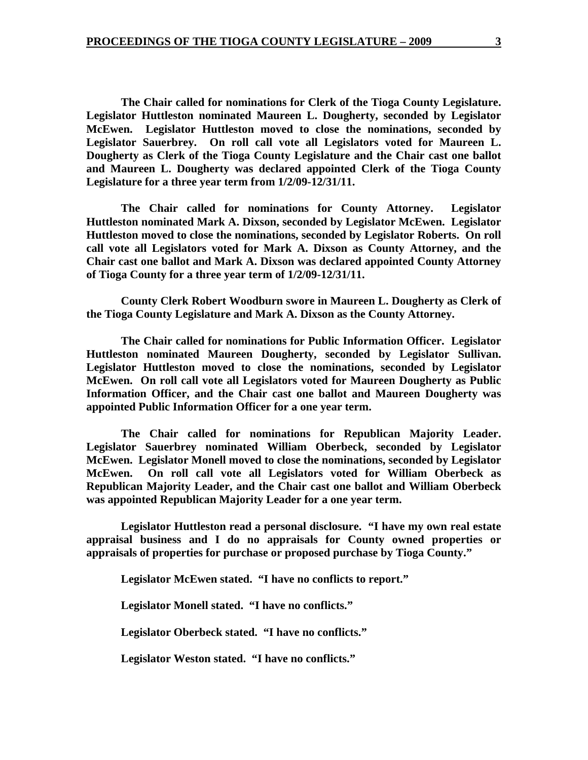**The Chair called for nominations for Clerk of the Tioga County Legislature. Legislator Huttleston nominated Maureen L. Dougherty, seconded by Legislator McEwen. Legislator Huttleston moved to close the nominations, seconded by Legislator Sauerbrey. On roll call vote all Legislators voted for Maureen L. Dougherty as Clerk of the Tioga County Legislature and the Chair cast one ballot and Maureen L. Dougherty was declared appointed Clerk of the Tioga County Legislature for a three year term from 1/2/09-12/31/11.** 

 **The Chair called for nominations for County Attorney. Legislator Huttleston nominated Mark A. Dixson, seconded by Legislator McEwen. Legislator Huttleston moved to close the nominations, seconded by Legislator Roberts. On roll call vote all Legislators voted for Mark A. Dixson as County Attorney, and the Chair cast one ballot and Mark A. Dixson was declared appointed County Attorney of Tioga County for a three year term of 1/2/09-12/31/11.** 

 **County Clerk Robert Woodburn swore in Maureen L. Dougherty as Clerk of the Tioga County Legislature and Mark A. Dixson as the County Attorney.** 

 **The Chair called for nominations for Public Information Officer. Legislator Huttleston nominated Maureen Dougherty, seconded by Legislator Sullivan. Legislator Huttleston moved to close the nominations, seconded by Legislator McEwen. On roll call vote all Legislators voted for Maureen Dougherty as Public Information Officer, and the Chair cast one ballot and Maureen Dougherty was appointed Public Information Officer for a one year term.** 

 **The Chair called for nominations for Republican Majority Leader. Legislator Sauerbrey nominated William Oberbeck, seconded by Legislator McEwen. Legislator Monell moved to close the nominations, seconded by Legislator McEwen. On roll call vote all Legislators voted for William Oberbeck as Republican Majority Leader, and the Chair cast one ballot and William Oberbeck was appointed Republican Majority Leader for a one year term.** 

 **Legislator Huttleston read a personal disclosure. "I have my own real estate appraisal business and I do no appraisals for County owned properties or appraisals of properties for purchase or proposed purchase by Tioga County."** 

 **Legislator McEwen stated. "I have no conflicts to report."** 

 **Legislator Monell stated. "I have no conflicts."** 

 **Legislator Oberbeck stated. "I have no conflicts."** 

 **Legislator Weston stated. "I have no conflicts."**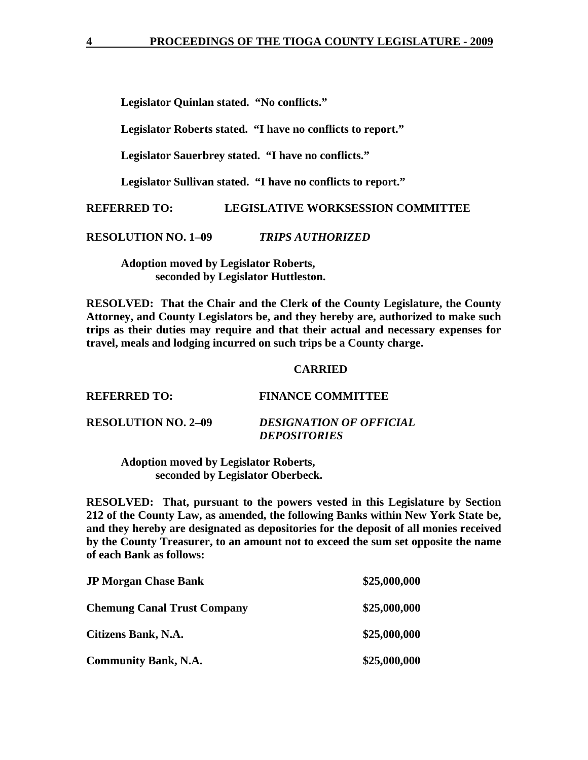**Legislator Quinlan stated. "No conflicts."** 

 **Legislator Roberts stated. "I have no conflicts to report."** 

 **Legislator Sauerbrey stated. "I have no conflicts."** 

 **Legislator Sullivan stated. "I have no conflicts to report."** 

**REFERRED TO: LEGISLATIVE WORKSESSION COMMITTEE** 

**RESOLUTION NO. 1–09** *TRIPS AUTHORIZED* 

 **Adoption moved by Legislator Roberts, seconded by Legislator Huttleston.** 

**RESOLVED: That the Chair and the Clerk of the County Legislature, the County Attorney, and County Legislators be, and they hereby are, authorized to make such trips as their duties may require and that their actual and necessary expenses for travel, meals and lodging incurred on such trips be a County charge.** 

## **CARRIED**

| <b>REFERRED TO:</b>        | <b>FINANCE COMMITTEE</b>                              |
|----------------------------|-------------------------------------------------------|
| <b>RESOLUTION NO. 2–09</b> | <b>DESIGNATION OF OFFICIAL</b><br><b>DEPOSITORIES</b> |

 **Adoption moved by Legislator Roberts, seconded by Legislator Oberbeck.** 

**RESOLVED: That, pursuant to the powers vested in this Legislature by Section 212 of the County Law, as amended, the following Banks within New York State be, and they hereby are designated as depositories for the deposit of all monies received by the County Treasurer, to an amount not to exceed the sum set opposite the name of each Bank as follows:** 

| <b>JP Morgan Chase Bank</b>        | \$25,000,000 |
|------------------------------------|--------------|
| <b>Chemung Canal Trust Company</b> | \$25,000,000 |
| Citizens Bank, N.A.                | \$25,000,000 |
| <b>Community Bank, N.A.</b>        | \$25,000,000 |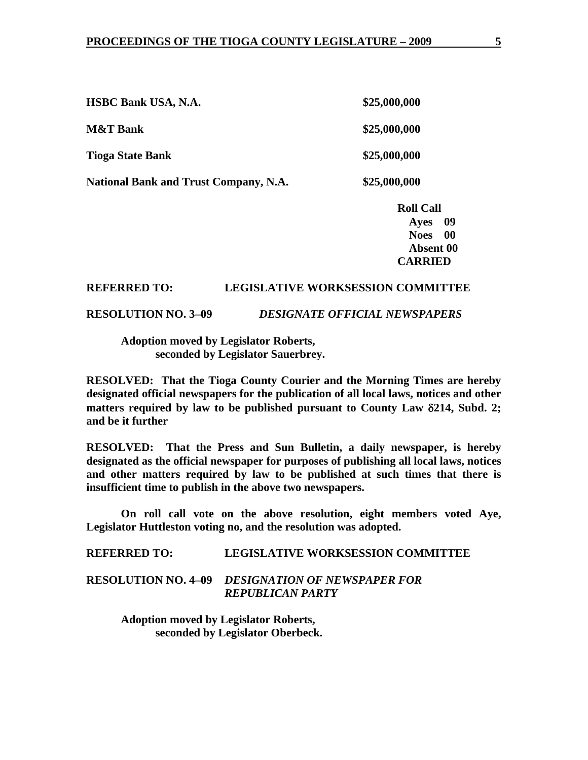|                                              | <b>Roll Call</b> |
|----------------------------------------------|------------------|
| <b>National Bank and Trust Company, N.A.</b> | \$25,000,000     |
| <b>Tioga State Bank</b>                      | \$25,000,000     |
| <b>M&amp;T Bank</b>                          | \$25,000,000     |
| <b>HSBC Bank USA, N.A.</b>                   | \$25,000,000     |

 **Ayes 09 Noes 00 Absent 00 CARRIED** 

## **REFERRED TO: LEGISLATIVE WORKSESSION COMMITTEE**

## **RESOLUTION NO. 3–09** *DESIGNATE OFFICIAL NEWSPAPERS*

## **Adoption moved by Legislator Roberts, seconded by Legislator Sauerbrey.**

**RESOLVED: That the Tioga County Courier and the Morning Times are hereby designated official newspapers for the publication of all local laws, notices and other matters required by law to be published pursuant to County Law** δ**214, Subd. 2; and be it further** 

**RESOLVED: That the Press and Sun Bulletin, a daily newspaper, is hereby designated as the official newspaper for purposes of publishing all local laws, notices and other matters required by law to be published at such times that there is insufficient time to publish in the above two newspapers.** 

 **On roll call vote on the above resolution, eight members voted Aye, Legislator Huttleston voting no, and the resolution was adopted.** 

**REFERRED TO: LEGISLATIVE WORKSESSION COMMITTEE** 

**RESOLUTION NO. 4–09** *DESIGNATION OF NEWSPAPER FOR REPUBLICAN PARTY* 

 **Adoption moved by Legislator Roberts, seconded by Legislator Oberbeck.**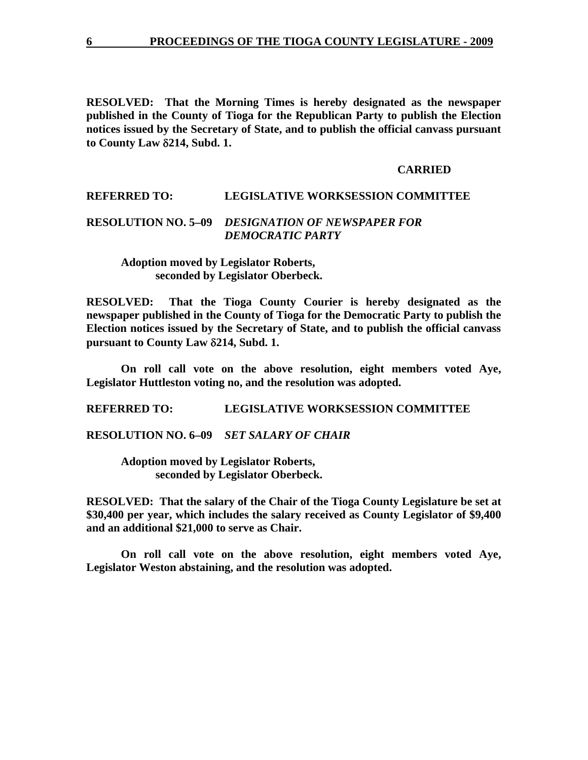**RESOLVED: That the Morning Times is hereby designated as the newspaper published in the County of Tioga for the Republican Party to publish the Election notices issued by the Secretary of State, and to publish the official canvass pursuant to County Law** δ**214, Subd. 1.** 

#### **CARRIED**

## **REFERRED TO: LEGISLATIVE WORKSESSION COMMITTEE**

## **RESOLUTION NO. 5–09** *DESIGNATION OF NEWSPAPER FOR DEMOCRATIC PARTY*

 **Adoption moved by Legislator Roberts, seconded by Legislator Oberbeck.** 

**RESOLVED: That the Tioga County Courier is hereby designated as the newspaper published in the County of Tioga for the Democratic Party to publish the Election notices issued by the Secretary of State, and to publish the official canvass pursuant to County Law** δ**214, Subd. 1.** 

 **On roll call vote on the above resolution, eight members voted Aye, Legislator Huttleston voting no, and the resolution was adopted.** 

**REFERRED TO: LEGISLATIVE WORKSESSION COMMITTEE** 

**RESOLUTION NO. 6–09** *SET SALARY OF CHAIR*

 **Adoption moved by Legislator Roberts, seconded by Legislator Oberbeck.** 

**RESOLVED: That the salary of the Chair of the Tioga County Legislature be set at \$30,400 per year, which includes the salary received as County Legislator of \$9,400 and an additional \$21,000 to serve as Chair.** 

 **On roll call vote on the above resolution, eight members voted Aye, Legislator Weston abstaining, and the resolution was adopted.**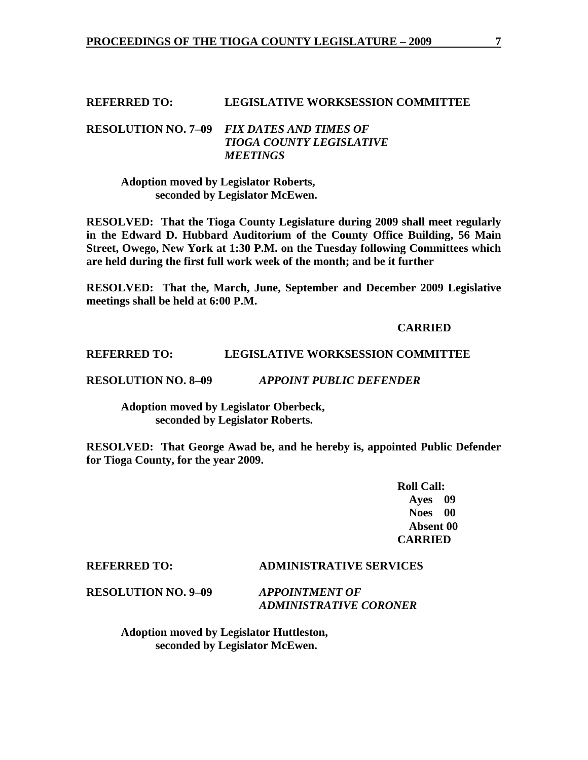### **REFERRED TO: LEGISLATIVE WORKSESSION COMMITTEE**

## **RESOLUTION NO. 7–09** *FIX DATES AND TIMES OF TIOGA COUNTY LEGISLATIVE MEETINGS*

 **Adoption moved by Legislator Roberts, seconded by Legislator McEwen.** 

**RESOLVED: That the Tioga County Legislature during 2009 shall meet regularly in the Edward D. Hubbard Auditorium of the County Office Building, 56 Main Street, Owego, New York at 1:30 P.M. on the Tuesday following Committees which are held during the first full work week of the month; and be it further** 

**RESOLVED: That the, March, June, September and December 2009 Legislative meetings shall be held at 6:00 P.M.** 

#### **CARRIED**

## **REFERRED TO: LEGISLATIVE WORKSESSION COMMITTEE**

**RESOLUTION NO. 8–09** *APPOINT PUBLIC DEFENDER*

 **Adoption moved by Legislator Oberbeck, seconded by Legislator Roberts.** 

**RESOLVED: That George Awad be, and he hereby is, appointed Public Defender for Tioga County, for the year 2009.** 

> **Roll Call: Ayes 09 Noes 00 Absent 00 CARRIED**

### **REFERRED TO: ADMINISTRATIVE SERVICES**

**RESOLUTION NO. 9–09** *APPOINTMENT OF* 

 *ADMINISTRATIVE CORONER* 

 **Adoption moved by Legislator Huttleston, seconded by Legislator McEwen.**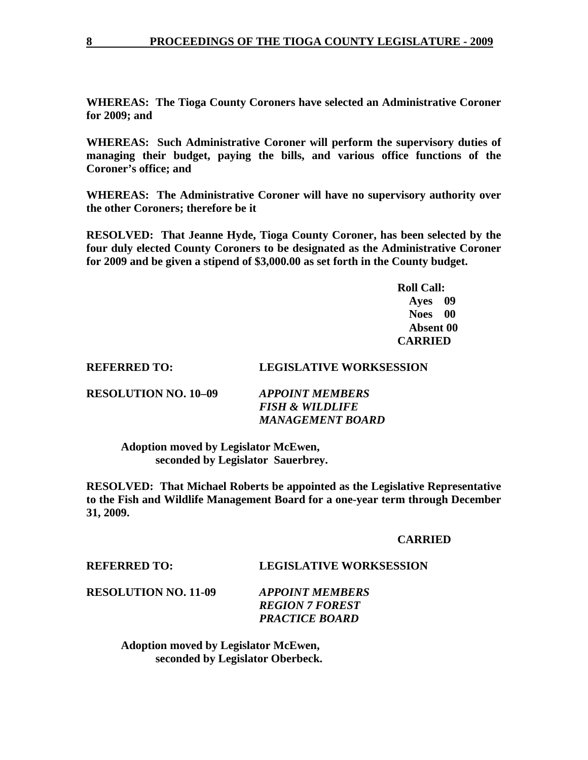**WHEREAS: The Tioga County Coroners have selected an Administrative Coroner for 2009; and** 

**WHEREAS: Such Administrative Coroner will perform the supervisory duties of managing their budget, paying the bills, and various office functions of the Coroner's office; and** 

**WHEREAS: The Administrative Coroner will have no supervisory authority over the other Coroners; therefore be it** 

**RESOLVED: That Jeanne Hyde, Tioga County Coroner, has been selected by the four duly elected County Coroners to be designated as the Administrative Coroner for 2009 and be given a stipend of \$3,000.00 as set forth in the County budget.** 

 **Roll Call: Ayes 09 Noes 00 Absent 00 CARRIED** 

## **REFERRED TO: LEGISLATIVE WORKSESSION**

| <b>RESOLUTION NO. 10–09</b> | <b>APPOINT MEMBERS</b>     |
|-----------------------------|----------------------------|
|                             | <b>FISH &amp; WILDLIFE</b> |
|                             | <b>MANAGEMENT BOARD</b>    |

 **Adoption moved by Legislator McEwen, seconded by Legislator Sauerbrey.** 

**RESOLVED: That Michael Roberts be appointed as the Legislative Representative to the Fish and Wildlife Management Board for a one-year term through December 31, 2009.** 

#### **CARRIED**

**REFERRED TO: LEGISLATIVE WORKSESSION** 

**RESOLUTION NO. 11-09** *APPOINT MEMBERS* 

 *REGION 7 FOREST PRACTICE BOARD* 

 **Adoption moved by Legislator McEwen, seconded by Legislator Oberbeck.**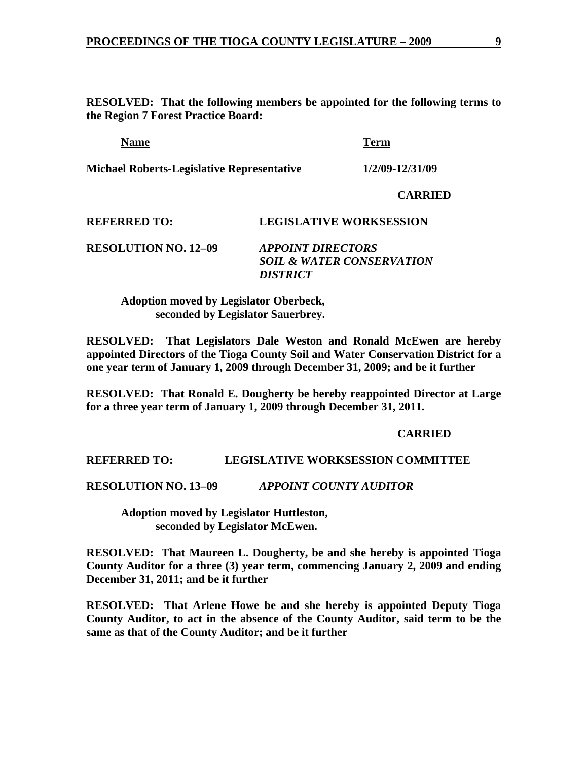**RESOLVED: That the following members be appointed for the following terms to the Region 7 Forest Practice Board:** 

| Name                                              | Term            |
|---------------------------------------------------|-----------------|
| <b>Michael Roberts-Legislative Representative</b> | 1/2/09-12/31/09 |

 **CARRIED** 

## **REFERRED TO: LEGISLATIVE WORKSESSION**

**RESOLUTION NO. 12–09** *APPOINT DIRECTORS*  *SOIL & WATER CONSERVATION DISTRICT* 

 **Adoption moved by Legislator Oberbeck, seconded by Legislator Sauerbrey.** 

**RESOLVED: That Legislators Dale Weston and Ronald McEwen are hereby appointed Directors of the Tioga County Soil and Water Conservation District for a one year term of January 1, 2009 through December 31, 2009; and be it further** 

**RESOLVED: That Ronald E. Dougherty be hereby reappointed Director at Large for a three year term of January 1, 2009 through December 31, 2011.** 

#### **CARRIED**

#### **REFERRED TO: LEGISLATIVE WORKSESSION COMMITTEE**

**RESOLUTION NO. 13–09** *APPOINT COUNTY AUDITOR*

**Adoption moved by Legislator Huttleston, seconded by Legislator McEwen.** 

**RESOLVED: That Maureen L. Dougherty, be and she hereby is appointed Tioga County Auditor for a three (3) year term, commencing January 2, 2009 and ending December 31, 2011; and be it further** 

**RESOLVED: That Arlene Howe be and she hereby is appointed Deputy Tioga County Auditor, to act in the absence of the County Auditor, said term to be the same as that of the County Auditor; and be it further**